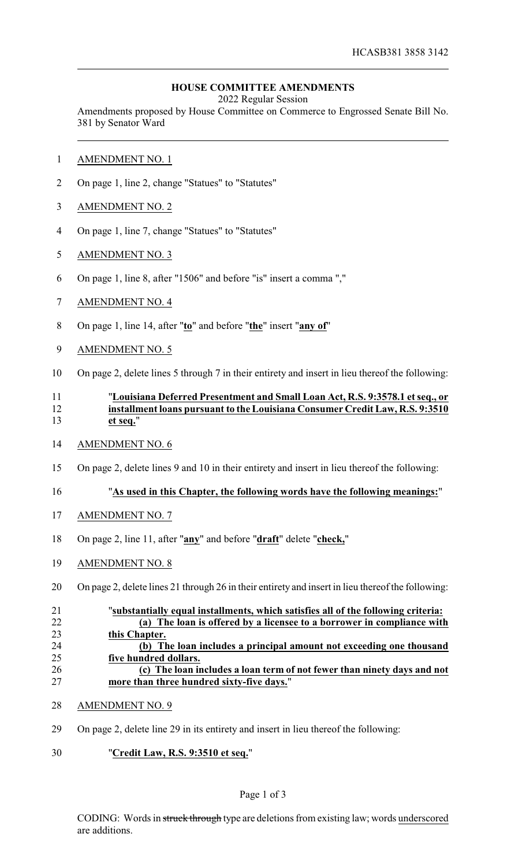## **HOUSE COMMITTEE AMENDMENTS**

2022 Regular Session

Amendments proposed by House Committee on Commerce to Engrossed Senate Bill No. 381 by Senator Ward

- AMENDMENT NO. 1
- On page 1, line 2, change "Statues" to "Statutes"
- AMENDMENT NO. 2
- On page 1, line 7, change "Statues" to "Statutes"
- AMENDMENT NO. 3
- On page 1, line 8, after "1506" and before "is" insert a comma ","
- AMENDMENT NO. 4
- On page 1, line 14, after "**to**" and before "**the**" insert "**any of**"
- AMENDMENT NO. 5
- On page 2, delete lines 5 through 7 in their entirety and insert in lieu thereof the following:

## "**Louisiana Deferred Presentment and Small Loan Act, R.S. 9:3578.1 et seq., or installment loans pursuant to the Louisiana Consumer Credit Law, R.S. 9:3510 et seq.**"

- AMENDMENT NO. 6
- On page 2, delete lines 9 and 10 in their entirety and insert in lieu thereof the following:

## "**As used in this Chapter, the following words have the following meanings:**"

- AMENDMENT NO. 7
- On page 2, line 11, after "**any**" and before "**draft**" delete "**check,**"
- AMENDMENT NO. 8
- On page 2, delete lines 21 through 26 in their entirety and insert in lieu thereof the following:

| 21 | "substantially equal installments, which satisfies all of the following criteria: |
|----|-----------------------------------------------------------------------------------|
| 22 | (a) The loan is offered by a licensee to a borrower in compliance with            |
| 23 | this Chapter.                                                                     |
| 24 | (b) The loan includes a principal amount not exceeding one thousand               |
| 25 | five hundred dollars.                                                             |
| 26 | (c) The loan includes a loan term of not fewer than ninety days and not           |
| 27 | more than three hundred sixty-five days."                                         |
|    |                                                                                   |

- AMENDMENT NO. 9
- On page 2, delete line 29 in its entirety and insert in lieu thereof the following:
- "**Credit Law, R.S. 9:3510 et seq.**"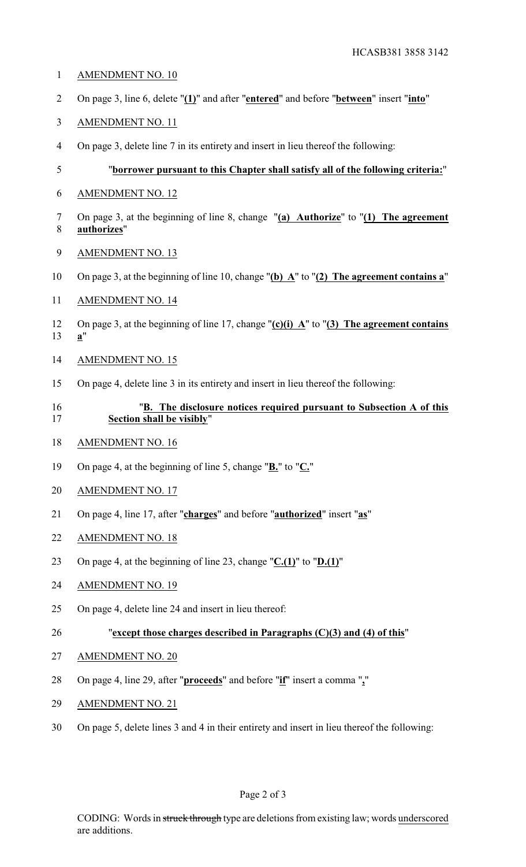- AMENDMENT NO. 10
- On page 3, line 6, delete "**(1)**" and after "**entered**" and before "**between**" insert "**into**"
- AMENDMENT NO. 11
- On page 3, delete line 7 in its entirety and insert in lieu thereof the following:

# "**borrower pursuant to this Chapter shall satisfy all of the following criteria:**"

- AMENDMENT NO. 12
- On page 3, at the beginning of line 8, change "**(a) Authorize**" to "**(1) The agreement authorizes**"
- AMENDMENT NO. 13
- On page 3, at the beginning of line 10, change "**(b) A**" to "**(2) The agreement contains a**"
- AMENDMENT NO. 14
- On page 3, at the beginning of line 17, change "**(c)(i) A**" to "**(3) The agreement contains a**"
- AMENDMENT NO. 15
- On page 4, delete line 3 in its entirety and insert in lieu thereof the following:

## "**B. The disclosure notices required pursuant to Subsection A of this Section shall be visibly**"

- AMENDMENT NO. 16
- On page 4, at the beginning of line 5, change "**B.**" to "**C.**"
- AMENDMENT NO. 17
- On page 4, line 17, after "**charges**" and before "**authorized**" insert "**as**"
- AMENDMENT NO. 18
- On page 4, at the beginning of line 23, change "**C.(1)**" to "**D.(1)**"
- AMENDMENT NO. 19
- On page 4, delete line 24 and insert in lieu thereof:
- "**except those charges described in Paragraphs (C)(3) and (4) of this**"
- AMENDMENT NO. 20
- On page 4, line 29, after "**proceeds**" and before "**if**" insert a comma "**,**"
- AMENDMENT NO. 21
- On page 5, delete lines 3 and 4 in their entirety and insert in lieu thereof the following: